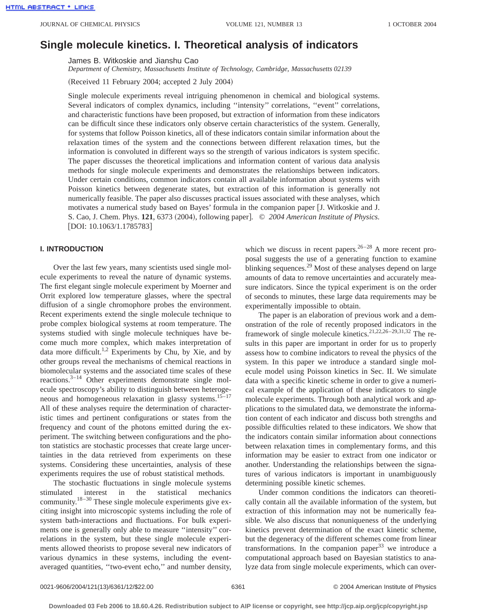# **Single molecule kinetics. I. Theoretical analysis of indicators**

James B. Witkoskie and Jianshu Cao

*Department of Chemistry, Massachusetts Institute of Technology, Cambridge, Massachusetts 02139*

 $(Received 11 February 2004; accepted 2 July 2004)$ 

Single molecule experiments reveal intriguing phenomenon in chemical and biological systems. Several indicators of complex dynamics, including ''intensity'' correlations, ''event'' correlations, and characteristic functions have been proposed, but extraction of information from these indicators can be difficult since these indicators only observe certain characteristics of the system. Generally, for systems that follow Poisson kinetics, all of these indicators contain similar information about the relaxation times of the system and the connections between different relaxation times, but the information is convoluted in different ways so the strength of various indicators is system specific. The paper discusses the theoretical implications and information content of various data analysis methods for single molecule experiments and demonstrates the relationships between indicators. Under certain conditions, common indicators contain all available information about systems with Poisson kinetics between degenerate states, but extraction of this information is generally not numerically feasible. The paper also discusses practical issues associated with these analyses, which motivates a numerical study based on Bayes' formula in the companion paper [J. Witkoskie and J. S. Cao, J. Chem. Phys. **121**, 6373 (2004), following paper]. © *2004 American Institute of Physics.* [DOI: 10.1063/1.1785783]

# **I. INTRODUCTION**

Over the last few years, many scientists used single molecule experiments to reveal the nature of dynamic systems. The first elegant single molecule experiment by Moerner and Orrit explored low temperature glasses, where the spectral diffusion of a single chromophore probes the environment. Recent experiments extend the single molecule technique to probe complex biological systems at room temperature. The systems studied with single molecule techniques have become much more complex, which makes interpretation of data more difficult.<sup>1,2</sup> Experiments by Chu, by Xie, and by other groups reveal the mechanisms of chemical reactions in biomolecular systems and the associated time scales of these reactions.3–14 Other experiments demonstrate single molecule spectroscopy's ability to distinguish between heterogeneous and homogeneous relaxation in glassy systems.<sup>15–17</sup> All of these analyses require the determination of characteristic times and pertinent configurations or states from the frequency and count of the photons emitted during the experiment. The switching between configurations and the photon statistics are stochastic processes that create large uncertainties in the data retrieved from experiments on these systems. Considering these uncertainties, analysis of these experiments requires the use of robust statistical methods.

The stochastic fluctuations in single molecule systems stimulated interest in the statistical mechanics community.18–30 These single molecule experiments give exciting insight into microscopic systems including the role of system bath-interactions and fluctuations. For bulk experiments one is generally only able to measure ''intensity'' correlations in the system, but these single molecule experiments allowed theorists to propose several new indicators of various dynamics in these systems, including the eventaveraged quantities, ''two-event echo,'' and number density, which we discuss in recent papers.  $26-28$  A more recent proposal suggests the use of a generating function to examine blinking sequences.<sup>29</sup> Most of these analyses depend on large amounts of data to remove uncertainties and accurately measure indicators. Since the typical experiment is on the order of seconds to minutes, these large data requirements may be experimentally impossible to obtain.

The paper is an elaboration of previous work and a demonstration of the role of recently proposed indicators in the framework of single molecule kinetics.21,22,26–29,31,32 The results in this paper are important in order for us to properly assess how to combine indicators to reveal the physics of the system. In this paper we introduce a standard single molecule model using Poisson kinetics in Sec. II. We simulate data with a specific kinetic scheme in order to give a numerical example of the application of these indicators to single molecule experiments. Through both analytical work and applications to the simulated data, we demonstrate the information content of each indicator and discuss both strengths and possible difficulties related to these indicators. We show that the indicators contain similar information about connections between relaxation times in complementary forms, and this information may be easier to extract from one indicator or another. Understanding the relationships between the signatures of various indicators is important in unambiguously determining possible kinetic schemes.

Under common conditions the indicators can theoretically contain all the available information of the system, but extraction of this information may not be numerically feasible. We also discuss that nonuniqueness of the underlying kinetics prevent determination of the exact kinetic scheme, but the degeneracy of the different schemes come from linear transformations. In the companion paper<sup>33</sup> we introduce a computational approach based on Bayesian statistics to analyze data from single molecule experiments, which can over-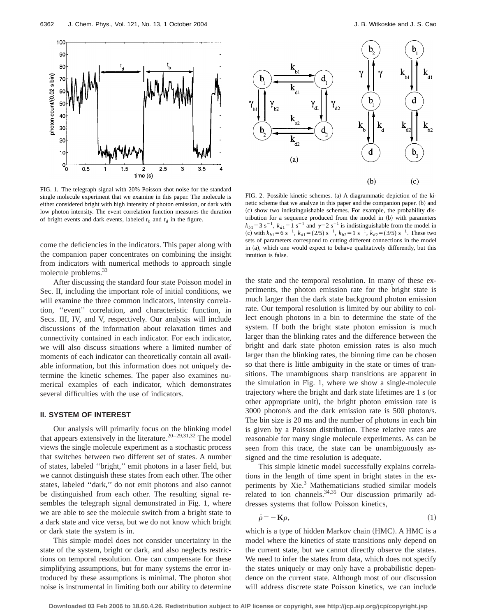

FIG. 1. The telegraph signal with 20% Poisson shot noise for the standard single molecule experiment that we examine in this paper. The molecule is either considered bright with high intensity of photon emission, or dark with low photon intensity. The event correlation function measures the duration of bright events and dark events, labeled  $t<sub>b</sub>$  and  $t<sub>d</sub>$  in the figure.

come the deficiencies in the indicators. This paper along with the companion paper concentrates on combining the insight from indicators with numerical methods to approach single molecule problems.33

After discussing the standard four state Poisson model in Sec. II, including the important role of initial conditions, we will examine the three common indicators, intensity correlation, ''event'' correlation, and characteristic function, in Secs. III, IV, and V, respectively. Our analysis will include discussions of the information about relaxation times and connectivity contained in each indicator. For each indicator, we will also discuss situations where a limited number of moments of each indicator can theoretically contain all available information, but this information does not uniquely determine the kinetic schemes. The paper also examines numerical examples of each indicator, which demonstrates several difficulties with the use of indicators.

## **II. SYSTEM OF INTEREST**

Our analysis will primarily focus on the blinking model that appears extensively in the literature.<sup>20–29,31,32</sup> The model views the single molecule experiment as a stochastic process that switches between two different set of states. A number of states, labeled ''bright,'' emit photons in a laser field, but we cannot distinguish these states from each other. The other states, labeled ''dark,'' do not emit photons and also cannot be distinguished from each other. The resulting signal resembles the telegraph signal demonstrated in Fig. 1, where we are able to see the molecule switch from a bright state to a dark state and vice versa, but we do not know which bright or dark state the system is in.

This simple model does not consider uncertainty in the state of the system, bright or dark, and also neglects restrictions on temporal resolution. One can compensate for these simplifying assumptions, but for many systems the error introduced by these assumptions is minimal. The photon shot noise is instrumental in limiting both our ability to determine



FIG. 2. Possible kinetic schemes. (a) A diagrammatic depiction of the kinetic scheme that we analyze in this paper and the companion paper. (b) and ~c! show two indistinguishable schemes. For example, the probability distribution for a sequence produced from the model in (b) with parameters  $k_{b1}$ =3 s<sup>-1</sup>,  $k_{d1}$ =1 s<sup>-1</sup> and  $\gamma$ =2 s<sup>-1</sup> is indistinguishable from the model in (c) with  $k_{b1} = 6$  s<sup>-1</sup>,  $k_{d1} = (2/5)$  s<sup>-1</sup>,  $k_{b2} = 1$  s<sup>-1</sup>,  $k_{d2} = (3/5)$  s<sup>-1</sup>. These two sets of parameters correspond to cutting different connections in the model in (a), which one would expect to behave qualitatively differently, but this intuition is false.

the state and the temporal resolution. In many of these experiments, the photon emission rate for the bright state is much larger than the dark state background photon emission rate. Our temporal resolution is limited by our ability to collect enough photons in a bin to determine the state of the system. If both the bright state photon emission is much larger than the blinking rates and the difference between the bright and dark state photon emission rates is also much larger than the blinking rates, the binning time can be chosen so that there is little ambiguity in the state or times of transitions. The unambiguous sharp transitions are apparent in the simulation in Fig. 1, where we show a single-molecule trajectory where the bright and dark state lifetimes are 1 s (or other appropriate unit), the bright photon emission rate is 3000 photon/s and the dark emission rate is 500 photon/s. The bin size is 20 ms and the number of photons in each bin is given by a Poisson distribution. These relative rates are reasonable for many single molecule experiments. As can be seen from this trace, the state can be unambiguously assigned and the time resolution is adequate.

This simple kinetic model successfully explains correlations in the length of time spent in bright states in the experiments by Xie.<sup>3</sup> Mathematicians studied similar models related to ion channels.<sup>34,35</sup> Our discussion primarily addresses systems that follow Poisson kinetics,

$$
\dot{\rho} = -\mathbf{K}\rho,\tag{1}
$$

which is a type of hidden Markov chain (HMC). A HMC is a model where the kinetics of state transitions only depend on the current state, but we cannot directly observe the states. We need to infer the states from data, which does not specify the states uniquely or may only have a probabilistic dependence on the current state. Although most of our discussion will address discrete state Poisson kinetics, we can include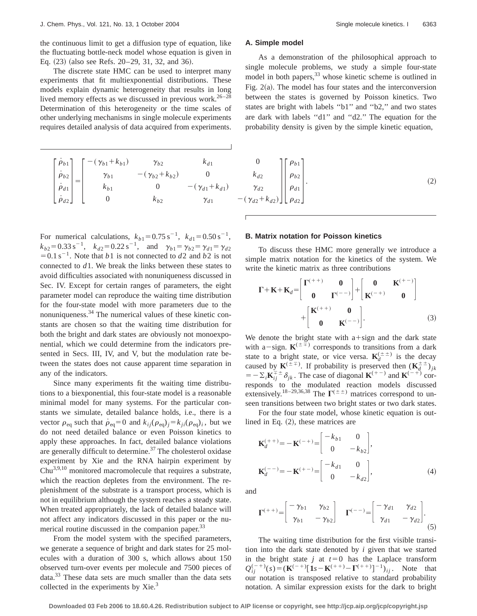the continuous limit to get a diffusion type of equation, like the fluctuating bottle-neck model whose equation is given in Eq.  $(23)$  (also see Refs. 20–29, 31, 32, and 36).

The discrete state HMC can be used to interpret many experiments that fit multiexponential distributions. These models explain dynamic heterogeneity that results in long lived memory effects as we discussed in previous work.<sup>26-28</sup> Determination of this heterogeneity or the time scales of other underlying mechanisms in single molecule experiments requires detailed analysis of data acquired from experiments.

$$
\begin{bmatrix}\n\dot{\rho}_{b1} \\
\dot{\rho}_{b2} \\
\dot{\rho}_{d1} \\
\dot{\rho}_{d2}\n\end{bmatrix} = \begin{bmatrix}\n-(\gamma_{b1} + k_{b1}) & \gamma_{b2} & k_{d1} & 0 \\
\gamma_{b1} & -(\gamma_{b2} + k_{b2}) & 0 & k_{d2} \\
k_{b1} & 0 & -(\gamma_{d1} + k_{d1}) & \gamma_{d2} \\
0 & k_{b2} & \gamma_{d1} & -(\gamma_{d2} + k_{d2})\n\end{bmatrix}
$$

For numerical calculations,  $k_{b1} = 0.75 \text{ s}^{-1}$ ,  $k_{d1} = 0.50 \text{ s}^{-1}$ ,  $k_{b2} = 0.33 \text{ s}^{-1}$ ,  $k_{d2} = 0.22 \text{ s}^{-1}$ , and  $\gamma_{b1} = \gamma_{b2} = \gamma_{d1} = \gamma_{d2}$  $=0.1$  s<sup>-1</sup>. Note that *b*1 is not connected to *d*2 and *b*2 is not connected to *d*1. We break the links between these states to avoid difficulties associated with nonuniqueness discussed in Sec. IV. Except for certain ranges of parameters, the eight parameter model can reproduce the waiting time distribution for the four-state model with more parameters due to the nonuniqueness.34 The numerical values of these kinetic constants are chosen so that the waiting time distribution for both the bright and dark states are obviously not monoexponential, which we could determine from the indicators presented in Secs. III, IV, and V, but the modulation rate between the states does not cause apparent time separation in any of the indicators.

Since many experiments fit the waiting time distributions to a biexponential, this four-state model is a reasonable minimal model for many systems. For the particular constants we simulate, detailed balance holds, i.e., there is a vector  $\rho_{eq}$  such that  $\dot{\rho}_{eq}=0$  and  $k_{ij}(\rho_{eq})_j = k_{ji}(\rho_{eq})_i$ , but we do not need detailed balance or even Poisson kinetics to apply these approaches. In fact, detailed balance violations are generally difficult to determine.<sup>37</sup> The cholesterol oxidase experiment by Xie and the RNA hairpin experiment by  $Chu<sup>3,9,10</sup>$  monitored macromolecule that requires a substrate, which the reaction depletes from the environment. The replenishment of the substrate is a transport process, which is not in equilibrium although the system reaches a steady state. When treated appropriately, the lack of detailed balance will not affect any indicators discussed in this paper or the numerical routine discussed in the companion paper.<sup>33</sup>

From the model system with the specified parameters, we generate a sequence of bright and dark states for 25 molecules with a duration of 300 s, which allows about 150 observed turn-over events per molecule and 7500 pieces of data.33 These data sets are much smaller than the data sets collected in the experiments by  $Xie.<sup>3</sup>$ 

## **A. Simple model**

As a demonstration of the philosophical approach to single molecule problems, we study a simple four-state model in both papers,<sup>33</sup> whose kinetic scheme is outlined in Fig.  $2(a)$ . The model has four states and the interconversion between the states is governed by Poisson kinetics. Two states are bright with labels ''b1'' and ''b2,'' and two states are dark with labels ''d1'' and ''d2.'' The equation for the probability density is given by the simple kinetic equation,

$$
\begin{bmatrix}\n0 \\
k_{d2} \\
\gamma_{d2} \\
(\gamma_{d2} + k_{d2})\n\end{bmatrix}\n\begin{bmatrix}\n\rho_{b1} \\
\rho_{b2} \\
\rho_{d1} \\
\rho_{d2}\n\end{bmatrix}.
$$
\n(2)

#### **B. Matrix notation for Poisson kinetics**

To discuss these HMC more generally we introduce a simple matrix notation for the kinetics of the system. We write the kinetic matrix as three contributions

$$
\Gamma + \mathbf{K} + \mathbf{K}_d = \begin{bmatrix} \Gamma^{(+)} & \mathbf{0} \\ \mathbf{0} & \Gamma^{(--)} \end{bmatrix} + \begin{bmatrix} \mathbf{0} & \mathbf{K}^{(+-)} \\ \mathbf{K}^{(-+)} & \mathbf{0} \end{bmatrix} + \begin{bmatrix} \mathbf{K}^{(++)} & \mathbf{0} \\ \mathbf{0} & \mathbf{K}^{(--)} \end{bmatrix}.
$$
 (3)

We denote the bright state with  $a+sign$  and the dark state with a-sign.  $\mathbf{K}^{(\pm\mp)}$  corresponds to transitions from a dark state to a bright state, or vice versa.  $\mathbf{K}_d^{(\pm \pm)}$  is the decay caused by  $\mathbf{K}^{(\pm\mp)}$ . If probability is preserved then  $(\mathbf{K}_d^{\pm\pm})_{jk}$  $= -\sum_{i} \mathbf{K}_{ij}^{\pm \pm} \delta_{jk}$ . The case of diagonal  $\mathbf{K}^{(+)}$  and  $\mathbf{K}^{(-+)}$  corresponds to the modulated reaction models discussed extensively.<sup>18–29,36,38</sup> The  $\Gamma^{(\pm\pm)}$  matrices correspond to unseen transitions between two bright states or two dark states.

For the four state model, whose kinetic equation is outlined in Eq.  $(2)$ , these matrices are

$$
\mathbf{K}_{d}^{(++)} = -\mathbf{K}^{(-+)} = \begin{bmatrix} -k_{b1} & 0\\ 0 & -k_{b2} \end{bmatrix}, \n\mathbf{K}_{d}^{(--)} = -\mathbf{K}^{(+)} = \begin{bmatrix} -k_{d1} & 0\\ 0 & -k_{d2} \end{bmatrix},
$$
\n(4)

and

$$
\Gamma^{(++)} = \begin{bmatrix} -\gamma_{b1} & \gamma_{b2} \\ \gamma_{b1} & -\gamma_{b2} \end{bmatrix} \quad \Gamma^{(--)} = \begin{bmatrix} -\gamma_{d1} & \gamma_{d2} \\ \gamma_{d1} & -\gamma_{d2} \end{bmatrix}.
$$

The waiting time distribution for the first visible transition into the dark state denoted by *i* given that we started in the bright state  $j$  at  $t=0$  has the Laplace transform  $Q_{ij}^{(-+)}(s) = (\mathbf{K}^{(-+)}[\mathbf{1}s - \mathbf{K}^{(++)} - \mathbf{\Gamma}^{(++)}]^{-1})_{ij}$ . Note that our notation is transposed relative to standard probability notation. A similar expression exists for the dark to bright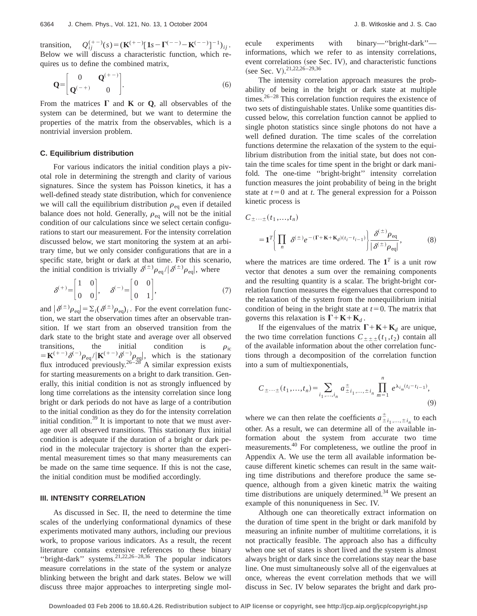transition,  $\mathbf{K}^{(+)}(s) = (\mathbf{K}^{(+)}[\mathbf{1}s - \mathbf{\Gamma}^{(-)} - \mathbf{K}^{(-)}]^{-1})_{ij}.$ Below we will discuss a characteristic function, which requires us to define the combined matrix,

$$
\mathbf{Q} = \begin{bmatrix} 0 & \mathbf{Q}^{(+-)} \\ \mathbf{Q}^{(-+)} & 0 \end{bmatrix} . \tag{6}
$$

From the matrices  $\Gamma$  and **K** or **Q**, all observables of the system can be determined, but we want to determine the properties of the matrix from the observables, which is a nontrivial inversion problem.

## **C. Equilibrium distribution**

For various indicators the initial condition plays a pivotal role in determining the strength and clarity of various signatures. Since the system has Poisson kinetics, it has a well-defined steady state distribution, which for convenience we will call the equilibrium distribution  $\rho_{eq}$  even if detailed balance does not hold. Generally,  $\rho_{eq}$  will not be the initial condition of our calculations since we select certain configurations to start our measurement. For the intensity correlation discussed below, we start monitoring the system at an arbitrary time, but we only consider configurations that are in a specific state, bright or dark at that time. For this scenario, the initial condition is trivially  $\delta^{(\pm)}\rho_{\text{eq}}/|\delta^{(\pm)}\rho_{\text{eq}}|$ , where

$$
\delta^{(+)} = \begin{bmatrix} 1 & 0 \\ 0 & 0 \end{bmatrix}, \quad \delta^{(-)} = \begin{bmatrix} 0 & 0 \\ 0 & 1 \end{bmatrix}, \tag{7}
$$

and  $|\delta^{(\pm)}\rho_{\text{eq}}| = \sum_i(\delta^{(\pm)}\rho_{\text{eq}})_i$ . For the event correlation function, we start the observation times after an observable transition. If we start from an observed transition from the dark state to the bright state and average over all observed transitions, the initial condition is  $\rho_{\rm ic}$  $=$ **K**<sup>(+-)</sup> $\delta$ <sup>(-)</sup> $\rho_{eq}$ /|**K**<sup>(+-)</sup> $\delta$ <sup>(-)</sup> $\rho_{eq}$ , which is the stationary flux introduced previously.<sup>26-28</sup> A similar expression exists for starting measurements on a bright to dark transition. Generally, this initial condition is not as strongly influenced by long time correlations as the intensity correlation since long bright or dark periods do not have as large of a contribution to the initial condition as they do for the intensity correlation initial condition.<sup>39</sup> It is important to note that we must average over all observed transitions. This stationary flux initial condition is adequate if the duration of a bright or dark period in the molecular trajectory is shorter than the experimental measurement times so that many measurements can be made on the same time sequence. If this is not the case, the initial condition must be modified accordingly.

#### **III. INTENSITY CORRELATION**

As discussed in Sec. II, the need to determine the time scales of the underlying conformational dynamics of these experiments motivated many authors, including our previous work, to propose various indicators. As a result, the recent literature contains extensive references to these binary ''bright-dark'' systems.21,22,26–28,36 The popular indicators measure correlations in the state of the system or analyze blinking between the bright and dark states. Below we will discuss three major approaches to interpreting single molecule experiments with binary—''bright-dark'' informations, which we refer to as intensity correlations, event correlations (see Sec. IV), and characteristic functions (see Sec. V).<sup>21,22,26-29,36</sup>

The intensity correlation approach measures the probability of being in the bright or dark state at multiple times. $26-28$  This correlation function requires the existence of two sets of distinguishable states. Unlike some quantities discussed below, this correlation function cannot be applied to single photon statistics since single photons do not have a well defined duration. The time scales of the correlation functions determine the relaxation of the system to the equilibrium distribution from the initial state, but does not contain the time scales for time spent in the bright or dark manifold. The one-time ''bright-bright'' intensity correlation function measures the joint probability of being in the bright state at  $t=0$  and at  $t$ . The general expression for a Poisson kinetic process is

$$
C_{\pm} \dots \pm (t_1, \dots, t_n)
$$
  
=  $\mathbf{1}^T \Biggl\{ \prod_n \delta^{(\pm)} e^{-(\Gamma + \mathbf{K} + \mathbf{K}_d)(t_i - t_{i-1})} \Biggr\} \frac{\delta^{(\pm)} \rho_{\text{eq}}}{|\delta^{(\pm)} \rho_{\text{eq}}|},$  (8)

where the matrices are time ordered. The  $\mathbf{1}^T$  is a unit row vector that denotes a sum over the remaining components and the resulting quantity is a scalar. The bright-bright correlation function measures the eigenvalues that correspond to the relaxation of the system from the nonequilibrium initial condition of being in the bright state at  $t=0$ . The matrix that governs this relaxation is  $\mathbf{\Gamma} + \mathbf{K} + \mathbf{K}_d$ .

If the eigenvalues of the matrix  $\mathbf{\Gamma} + \mathbf{K} + \mathbf{K}_d$  are unique, the two time correlation functions  $C_{\pm\pm\pm}(t_1,t_2)$  contain all of the available information about the other correlation functions through a decomposition of the correlation function into a sum of multiexponentials,

$$
C_{\pm}...{\pm}(t_1,...,t_n) = \sum_{i_1,...,i_n} a^{\pm}_{\pm i_1,...,\pm i_n} \prod_{m=1}^n e^{\lambda_{i_m}(t_i - t_{i-1})},
$$
\n(9)

where we can then relate the coefficients  $a_{\pm i_1,\dots,\pm i_n}^{\pm}$  to each other. As a result, we can determine all of the available information about the system from accurate two time measurements.40 For completeness, we outline the proof in Appendix A. We use the term all available information because different kinetic schemes can result in the same waiting time distributions and therefore produce the same sequence, although from a given kinetic matrix the waiting time distributions are uniquely determined.<sup>34</sup> We present an example of this nonuniqueness in Sec. IV.

Although one can theoretically extract information on the duration of time spent in the bright or dark manifold by measuring an infinite number of multitime correlations, it is not practically feasible. The approach also has a difficulty when one set of states is short lived and the system is almost always bright or dark since the correlations stay near the base line. One must simultaneously solve all of the eigenvalues at once, whereas the event correlation methods that we will discuss in Sec. IV below separates the bright and dark pro-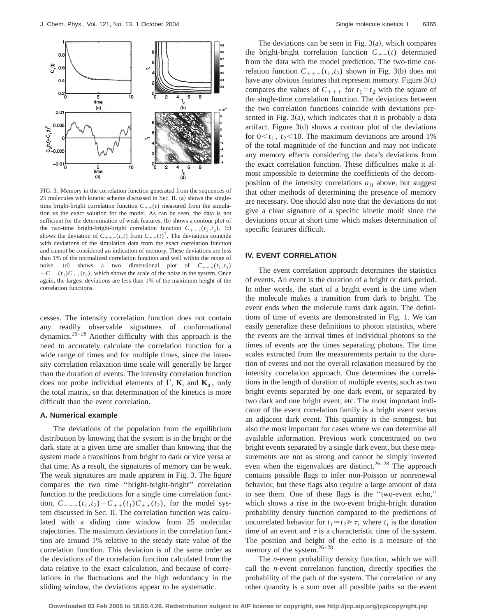

FIG. 3. Memory in the correlation function generated from the sequences of  $25$  molecules with kinetic scheme discussed in Sec. II. (a) shows the singletime bright-bright correlation function  $C_{++}(t)$  measured from the simulation vs the exact solution for the model. As can be seen, the data is not sufficient for the determination of weak features. (b) shows a contour plot of the two-time bright-bright-bright correlation function  $C_{+++}(t_1,t_2)$ . (c) shows the deviation of  $C_{+++}(t,t)$  from  $C_{++}(t)^2$ . The deviations coincide with deviations of the simulation data from the exact correlation function and cannot be considered an indication of memory. These deviations are less than 1% of the normalized correlation function and well within the range of noise. (d) shows a two dimensional plot of  $C_{+++}(t_1,t_2)$  $-C_{++}(t_1)C_{++}(t_2)$ , which shows the scale of the noise in the system. Once again, the largest deviations are less than 1% of the maximum height of the correlation functions.

cesses. The intensity correlation function does not contain any readily observable signatures of conformational dynamics.26–28 Another difficulty with this approach is the need to accurately calculate the correlation function for a wide range of times and for multiple times, since the intensity correlation relaxation time scale will generally be larger than the duration of events. The intensity correlation function does not probe individual elements of  $\Gamma$ , **K**, and **K**<sub>*d*</sub>, only the total matrix, so that determination of the kinetics is more difficult than the event correlation.

## **A. Numerical example**

The deviations of the population from the equilibrium distribution by knowing that the system is in the bright or the dark state at a given time are smaller than knowing that the system made a transitions from bright to dark or vice versa at that time. As a result, the signatures of memory can be weak. The weak signatures are made apparent in Fig. 3. The figure compares the two time ''bright-bright-bright'' correlation function to the predictions for a single time correlation function,  $C_{+++}(t_1,t_2) - C_{++}(t_1)C_{++}(t_2)$ , for the model system discussed in Sec. II. The correlation function was calculated with a sliding time window from 25 molecular trajectories. The maximum deviations in the correlation function are around 1% relative to the steady state value of the correlation function. This deviation is of the same order as the deviations of the correlation function calculated from the data relative to the exact calculation, and because of correlations in the fluctuations and the high redundancy in the sliding window, the deviations appear to be systematic.

The deviations can be seen in Fig.  $3(a)$ , which compares the bright-bright correlation function  $C_{++}(t)$  determined from the data with the model prediction. The two-time correlation function  $C_{+++}(t_1,t_2)$  shown in Fig. 3(b) does not have any obvious features that represent memory. Figure  $3(c)$ compares the values of  $C_{+++}$  for  $t_1 = t_2$  with the square of the single-time correlation function. The deviations between the two correlation functions coincide with deviations presented in Fig.  $3(a)$ , which indicates that it is probably a data artifact. Figure  $3(d)$  shows a contour plot of the deviations for  $0 \lt t_1$ ,  $t_2 \lt 10$ . The maximum deviations are around 1% of the total magnitude of the function and may not indicate any memory effects considering the data's deviations from the exact correlation function. These difficulties make it almost impossible to determine the coefficients of the decomposition of the intensity correlations  $a_{ij}$  above, but suggest that other methods of determining the presence of memory are necessary. One should also note that the deviations do not give a clear signature of a specific kinetic motif since the deviations occur at short time which makes determination of specific features difficult.

## **IV. EVENT CORRELATION**

The event correlation approach determines the statistics of events. An event is the duration of a bright or dark period. In other words, the start of a bright event is the time when the molecule makes a transition from dark to bright. The event ends when the molecule turns dark again. The definitions of time of events are demonstrated in Fig. 1. We can easily generalize these definitions to photon statistics, where the events are the arrival times of individual photons so the times of events are the times separating photons. The time scales extracted from the measurements pertain to the duration of events and not the overall relaxation measured by the intensity correlation approach. One determines the correlations in the length of duration of multiple events, such as two bright events separated by one dark event, or separated by two dark and one bright event, etc. The most important indicator of the event correlation family is a bright event versus an adjacent dark event. This quantity is the strongest, but also the most important for cases where we can determine all available information. Previous work concentrated on two bright events separated by a single dark event, but these measurements are not as strong and cannot be simply inverted even when the eigenvalues are distinct.<sup>26-28</sup> The approach contains possible flags to infer non-Poisson or nonrenewal behavior, but these flags also require a large amount of data to see them. One of these flags is the ''two-event echo,'' which shows a rise in the two-event bright-bright duration probability density function compared to the predictions of uncorrelated behavior for  $t_1 \approx t_2 \gg \tau$ , where  $t_i$  is the duration time of an event and  $\tau$  is a characteristic time of the system. The position and height of the echo is a measure of the memory of the system. $26-28$ 

The *n*-event probability density function, which we will call the *n*-event correlation function, directly specifies the probability of the path of the system. The correlation or any other quantity is a sum over all possible paths so the event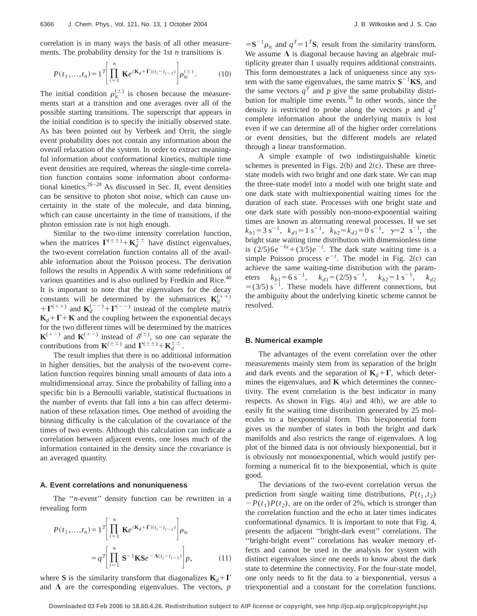correlation is in many ways the basis of all other measurements. The probability density for the 1st *n* transitions is

$$
P(t_1,...,t_n) = 1^T \left[ \prod_{i=1}^n \mathbf{K} e^{(\mathbf{K}_d + \mathbf{\Gamma})(t_i - t_{i-1})} \right] \rho_{ic}^{(\pm)}.
$$
 (10)

The initial condition  $\rho_{ic}^{(\pm)}$  is chosen because the measurements start at a transition and one averages over all of the possible starting transitions. The superscript that appears in the initial condition is to specify the initially observed state. As has been pointed out by Verbeek and Orrit, the single event probability does not contain any information about the overall relaxation of the system. In order to extract meaningful information about conformational kinetics, multiple time event densities are required, whereas the single-time correlation function contains some information about conformational kinetics.<sup>26–28</sup> As discussed in Sec. II, event densities can be sensitive to photon shot noise, which can cause uncertainty in the state of the molecule, and data binning, which can cause uncertainty in the time of transitions, if the photon emission rate is not high enough.

Similar to the two-time intensity correlation function, when the matrices  $\Gamma^{(\pm\pm)} + \mathbf{K}_d^{\pm\pm}$  have distinct eigenvalues, the two-event correlation function contains all of the available information about the Poisson process. The derivation follows the results in Appendix A with some redefinitions of various quantities and is also outlined by Fredkin and Rice.<sup>40</sup> It is important to note that the eigenvalues for the decay constants will be determined by the submatrices  $\mathbf{K}_d^{(+)}$  $+\Gamma^{(++)}$  and  $\mathbf{K}_{d}^{(--)}$  +  $\Gamma^{(--)}$  instead of the complete matrix  $\mathbf{K}_d + \mathbf{\Gamma} + \mathbf{K}$  and the coupling between the exponential decays for the two different times will be determined by the matrices  $K^{(+)}$  and  $K^{(+)}$  instead of  $\delta^{(\pm)}$ , so one can separate the contributions from  $\mathbf{K}^{(\pm \mp)}$  and  $\mathbf{\Gamma}^{(\pm \pm)}$  +  $\mathbf{K}_d^{\pm \pm}$ .

The result implies that there is no additional information in higher densities, but the analysis of the two-event correlation function requires binning small amounts of data into a multidimensional array. Since the probability of falling into a specific bin is a Bernoulli variable, statistical fluctuations in the number of events that fall into a bin can affect determination of these relaxation times. One method of avoiding the binning difficulty is the calculation of the covariance of the times of two events. Although this calculation can indicate a correlation between adjacent events, one loses much of the information contained in the density since the covariance is an averaged quantity.

#### **A. Event correlations and nonuniqueness**

The "*n*-event" density function can be rewritten in a revealing form

$$
P(t_1, ..., t_n) = 1^T \left[ \prod_{i=1}^n \mathbf{K} e^{(\mathbf{K}_d + \mathbf{\Gamma})(t_i - t_{i-1})} \right] \rho_{ic}
$$
  
=  $q^T \left[ \prod_{i=1}^n \mathbf{S}^{-1} \mathbf{K} \mathbf{S} e^{-\mathbf{\Lambda}(t_i - t_{i-1})} \right] p,$  (11)

where **S** is the similarity transform that diagonalizes  $\mathbf{K}_d + \mathbf{\Gamma}$ and  $\Lambda$  are the corresponding eigenvalues. The vectors,  $p$ 

 $S^{-1}\rho_{\text{in}}$  and  $q^T=1$ <sup>T</sup>**S**, result from the similarity transform. We assume  $\Lambda$  is diagonal because having an algebraic multiplicity greater than 1 usually requires additional constraints. This form demonstrates a lack of uniqueness since any system with the same eigenvalues, the same matrix  $S^{-1}KS$ , and the same vectors  $q<sup>T</sup>$  and p give the same probability distribution for multiple time events. $34$  In other words, since the density is restricted to probe along the vectors  $p$  and  $q<sup>T</sup>$ complete information about the underlying matrix is lost even if we can determine all of the higher order correlations or event densities, but the different models are related through a linear transformation.

A simple example of two indistinguishable kinetic schemes is presented in Figs.  $2(b)$  and  $2(c)$ . These are threestate models with two bright and one dark state. We can map the three-state model into a model with one bright state and one dark state with multiexponential waiting times for the duration of each state. Processes with one bright state and one dark state with possibly non-mono-exponential waiting times are known as alternating renewal processes. If we set  $k_{b1} = 3 \text{ s}^{-1}$ ,  $k_{d1} = 1 \text{ s}^{-1}$ ,  $k_{b2} = k_{d2} = 0 \text{ s}^{-1}$ ,  $\gamma = 2 \text{ s}^{-1}$ , the bright state waiting time distribution with dimensionless time is  $(2/5)6e^{-6t} + (3/5)e^{-t}$ . The dark state waiting time is a simple Poisson process  $e^{-t}$ . The model in Fig. 2(c) can achieve the same waiting-time distribution with the parameters  $k_{b1} = 6 \text{ s}^{-1}$ ,  $k_{d1} = (2/5) \text{ s}^{-1}$ ,  $k_{b2} = 1 \text{ s}^{-1}$ ,  $k_{d2}$  $=(3/5)$  s<sup>-1</sup>. These models have different connections, but the ambiguity about the underlying kinetic scheme cannot be resolved.

#### **B. Numerical example**

The advantages of the event correlation over the other measurements mainly stem from its separation of the bright and dark events and the separation of  $K_d + \Gamma$ , which determines the eigenvalues, and **K** which determines the connectivity. The event correlation is the best indicator in many respects. As shown in Figs.  $4(a)$  and  $4(b)$ , we are able to easily fit the waiting time distribution generated by 25 molecules to a biexponential form. This biexponential form gives us the number of states in both the bright and dark manifolds and also restricts the range of eigenvalues. A log plot of the binned data is not obviously biexponential, but it is obviously not monoexponential, which would justify performing a numerical fit to the biexponential, which is quite good.

The deviations of the two-event correlation versus the prediction from single waiting time distributions,  $P(t_1, t_2)$  $-P(t_1)P(t_2)$ , are on the order of 2%, which is stronger than the correlation function and the echo at later times indicates conformational dynamics. It is important to note that Fig. 4, presents the adjacent ''bright-dark event'' correlations. The ''bright-bright event'' correlations has weaker memory effects and cannot be used in the analysis for system with distinct eigenvalues since one needs to know about the dark state to determine the connectivity. For the four-state model, one only needs to fit the data to a biexponential, versus a triexponential and a constant for the correlation functions.

**Downloaded 03 Feb 2006 to 18.60.4.26. Redistribution subject to AIP license or copyright, see http://jcp.aip.org/jcp/copyright.jsp**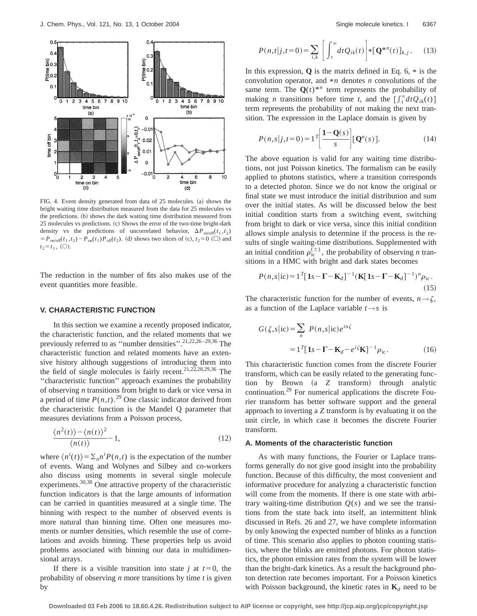

FIG. 4. Event density generated from data of 25 molecules. (a) shows the bright waiting time distribution measured from the data for 25 molecules vs the predictions. (b) shows the dark waiting time distribution measured from 25 molecules vs predictions. (c) Shows the error of the two-time bright-dark density vs the predictions of uncorrelated behavior,  $\Delta P_{\text{on/off}}(t_1, t_2)$  $= P_{\text{on/off}}(t_1, t_2) - P_{\text{on}}(t_1) P_{\text{off}}(t_2)$ . (d) shows two slices of (c),  $t_2 = 0$  ( $\square$ ) and  $t_2 = t_1$ , (O).

The reduction in the number of fits also makes use of the event quantities more feasible.

#### **V. CHARACTERISTIC FUNCTION**

In this section we examine a recently proposed indicator, the characteristic function, and the related moments that we previously referred to as ''number densities''.21,22,26–29,36 The characteristic function and related moments have an extensive history although suggestions of introducing them into the field of single molecules is fairly recent.<sup>21,22,28,29,36</sup> The ''characteristic function'' approach examines the probability of observing *n* transitions from bright to dark or vice versa in a period of time  $P(n,t)$ .<sup>29</sup> One classic indicator derived from the characteristic function is the Mandel Q parameter that measures deviations from a Poisson process,

$$
\frac{\langle n^2(t)\rangle - \langle n(t)\rangle^2}{\langle n(t)\rangle} - 1,\tag{12}
$$

where  $\langle n^i(t) \rangle = \sum_n n^i P(n,t)$  is the expectation of the number of events. Wang and Wolynes and Silbey and co-workers also discuss using moments in several single molecule experiments.<sup>30,38</sup> One attractive property of the characteristic function indicators is that the large amounts of information can be carried in quantities measured at a single time. The binning with respect to the number of observed events is more natural than binning time. Often one measures moments or number densities, which resemble the use of correlations and avoids binning. These properties help us avoid problems associated with binning our data in multidimensional arrays.

If there is a visible transition into state *j* at  $t=0$ , the probability of observing *n* more transitions by time *t* is given by

$$
P(n,t|j,t=0) = \sum_{i,k} \left[ \int_t^\infty dt Q_{ik}(t) \right] * [\mathbf{Q}^{*n}(t)]_{k,j}.
$$
 (13)

In this expression, **Q** is the matrix defined in Eq. 6, \* is the convolution operator, and \**n* denotes *n* convolutions of the same term. The  $Q(t)$ <sup>\**n*</sup> term represents the probability of making *n* transitions before time *t*, and the  $\left[\int_t^{\infty} dt Q_{ik}(t)\right]$ term represents the probability of not making the next transition. The expression in the Laplace domain is given by

$$
P(n,s|j,t=0) = 1 \left[ \frac{1 - \mathbf{Q}(s)}{s} \right] [\mathbf{Q}^n(s)]. \tag{14}
$$

The above equation is valid for any waiting time distributions, not just Poisson kinetics. The formalism can be easily applied to photons statistics, where a transition corresponds to a detected photon. Since we do not know the original or final state we must introduce the initial distribution and sum over the initial states. As will be discussed below the best initial condition starts from a switching event, switching from bright to dark or vice versa, since this initial condition allows simple analysis to determine if the process is the results of single waiting-time distributions. Supplemented with an initial condition  $\rho_{ic}^{(\pm)}$ , the probability of observing *n* transitions in a HMC with bright and dark states becomes

$$
P(n,s|\text{ic}) = 1^T [\mathbf{1}s - \mathbf{\Gamma} - \mathbf{K}_d]^{-1} (\mathbf{K} [\mathbf{1}s - \mathbf{\Gamma} - \mathbf{K}_d]^{-1})^n \rho_{\text{ic}}.
$$
\n(15)

The characteristic function for the number of events,  $n \rightarrow \zeta$ , as a function of the Laplace variable  $t \rightarrow s$  is

$$
G(\zeta, s | i c) = \sum_{n} P(n, s | i c) e^{i n \zeta}
$$

$$
= 1^{T} [\mathbf{1} s - \mathbf{\Gamma} - \mathbf{K}_{d} - e^{i \zeta} \mathbf{K}]^{-1} \rho_{i c}.
$$
(16)

This characteristic function comes from the discrete Fourier transform, which can be easily related to the generating function by Brown (a *Z* transform) through analytic continuation.29 For numerical applications the discrete Fourier transform has better software support and the general approach to inverting a *Z* transform is by evaluating it on the unit circle, in which case it becomes the discrete Fourier transform.

#### **A. Moments of the characteristic function**

As with many functions, the Fourier or Laplace transforms generally do not give good insight into the probability function. Because of this difficulty, the most convenient and informative procedure for analyzing a characteristic function will come from the moments. If there is one state with arbitrary waiting-time distribution  $Q(s)$  and we see the transitions from the state back into itself, an intermittent blink discussed in Refs. 26 and 27, we have complete information by only knowing the expected number of blinks as a function of time. This scenario also applies to photon counting statistics, where the blinks are emitted photons. For photon statistics, the photon emission rates from the system will be lower than the bright-dark kinetics. As a result the background photon detection rate becomes important. For a Poisson kinetics with Poisson background, the kinetic rates in  $\mathbf{K}_d$  need to be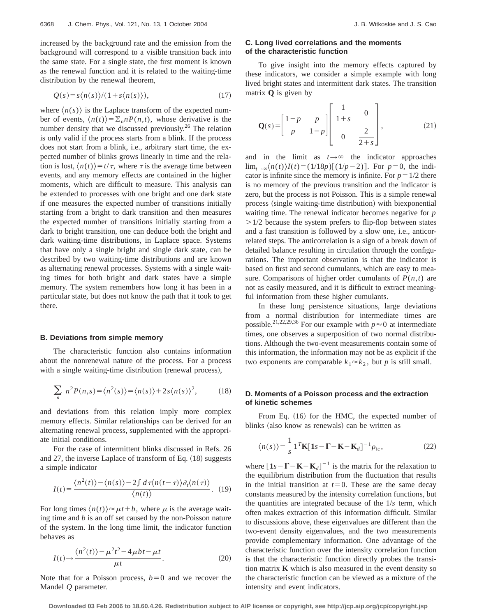increased by the background rate and the emission from the background will correspond to a visible transition back into the same state. For a single state, the first moment is known as the renewal function and it is related to the waiting-time distribution by the renewal theorem,

$$
Q(s) = s\langle n(s)\rangle/(1 + s\langle n(s)\rangle),\tag{17}
$$

where  $\langle n(s) \rangle$  is the Laplace transform of the expected number of events,  $\langle n(t) \rangle = \sum_{n} P(n,t)$ , whose derivative is the number density that we discussed previously.<sup>26</sup> The relation is only valid if the process starts from a blink. If the process does not start from a blink, i.e., arbitrary start time, the expected number of blinks grows linearly in time and the relation is lost,  $\langle n(t) \rangle = t/\tau$ , where  $\tau$  is the average time between events, and any memory effects are contained in the higher moments, which are difficult to measure. This analysis can be extended to processes with one bright and one dark state if one measures the expected number of transitions initially starting from a bright to dark transition and then measures the expected number of transitions initially starting from a dark to bright transition, one can deduce both the bright and dark waiting-time distributions, in Laplace space. Systems that have only a single bright and single dark state, can be described by two waiting-time distributions and are known as alternating renewal processes. Systems with a single waiting times for both bright and dark states have a simple memory. The system remembers how long it has been in a particular state, but does not know the path that it took to get there.

#### **B. Deviations from simple memory**

The characteristic function also contains information about the nonrenewal nature of the process. For a process with a single waiting-time distribution (renewal process),

$$
\sum_{n} n^{2} P(n,s) = \langle n^{2}(s) \rangle = \langle n(s) \rangle + 2s \langle n(s) \rangle^{2}, \quad (18)
$$

and deviations from this relation imply more complex memory effects. Similar relationships can be derived for an alternating renewal process, supplemented with the appropriate initial conditions.

For the case of intermittent blinks discussed in Refs. 26 and  $27$ , the inverse Laplace of transform of Eq.  $(18)$  suggests a simple indicator

$$
I(t) = \frac{\langle n^2(t) \rangle - \langle n(s) \rangle - 2 \int d\tau \langle n(t-\tau) \rangle \partial_t \langle n(\tau) \rangle}{\langle n(t) \rangle}.
$$
 (19)

For long times  $\langle n(t) \rangle \approx \mu t + b$ , where  $\mu$  is the average waiting time and *b* is an off set caused by the non-Poisson nature of the system. In the long time limit, the indicator function behaves as

$$
I(t) \rightarrow \frac{\langle n^2(t) \rangle - \mu^2 t^2 - 4\mu bt - \mu t}{\mu t}.
$$
 (20)

Note that for a Poisson process,  $b=0$  and we recover the Mandel *Q* parameter.

# **C. Long lived correlations and the moments of the characteristic function**

To give insight into the memory effects captured by these indicators, we consider a simple example with long lived bright states and intermittent dark states. The transition matrix **Q** is given by

$$
\mathbf{Q}(s) = \begin{bmatrix} 1-p & p \\ p & 1-p \end{bmatrix} \begin{bmatrix} \frac{1}{1+s} & 0 \\ 0 & \frac{2}{2+s} \end{bmatrix},
$$
(21)

and in the limit as  $t \rightarrow \infty$  the indicator approaches  $\lim_{t\to\infty} \frac{\langle n(t) \rangle I(t)}{1/8p}$  [(1/*p*-2)]. For *p*=0, the indicator is infinite since the memory is infinite. For  $p=1/2$  there is no memory of the previous transition and the indicator is zero, but the process is not Poisson. This is a simple renewal process (single waiting-time distribution) with biexponential waiting time. The renewal indicator becomes negative for *p*  $>1/2$  because the system prefers to flip-flop between states and a fast transition is followed by a slow one, i.e., anticorrelated steps. The anticorrelation is a sign of a break down of detailed balance resulting in circulation through the configurations. The important observation is that the indicator is based on first and second cumulants, which are easy to measure. Comparisons of higher order cumulants of  $P(n,t)$  are not as easily measured, and it is difficult to extract meaningful information from these higher cumulants.

In these long persistence situations, large deviations from a normal distribution for intermediate times are possible.<sup>21,22,29,36</sup> For our example with  $p \approx 0$  at intermediate times, one observes a superposition of two normal distributions. Although the two-event measurements contain some of this information, the information may not be as explicit if the two exponents are comparable  $k_1 \approx k_2$ , but *p* is still small.

# **D. Moments of a Poisson process and the extraction of kinetic schemes**

From Eq.  $(16)$  for the HMC, the expected number of blinks (also know as renewals) can be written as

$$
\langle n(s) \rangle = \frac{1}{s} \mathbf{1}^T \mathbf{K} [\mathbf{1} s - \mathbf{\Gamma} - \mathbf{K} - \mathbf{K}_d]^{-1} \rho_{ic}, \qquad (22)
$$

where  $[\mathbf{1}s - \mathbf{\Gamma} - \mathbf{K} - \mathbf{K}_d]^{-1}$  is the matrix for the relaxation to the equilibrium distribution from the fluctuation that results in the initial transition at  $t=0$ . These are the same decay constants measured by the intensity correlation functions, but the quantities are integrated because of the 1/*s* term, which often makes extraction of this information difficult. Similar to discussions above, these eigenvalues are different than the two-event density eigenvalues, and the two measurements provide complementary information. One advantage of the characteristic function over the intensity correlation function is that the characteristic function directly probes the transition matrix **K** which is also measured in the event density so the characteristic function can be viewed as a mixture of the intensity and event indicators.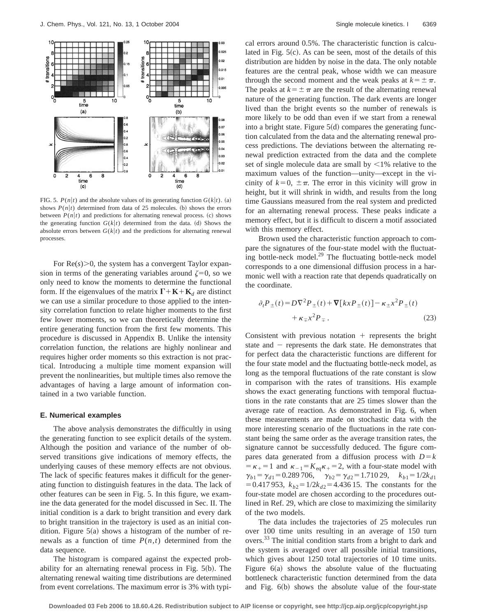

FIG. 5.  $P(n|t)$  and the absolute values of its generating function  $G(k|t)$ . (a) shows  $P(n|t)$  determined from data of 25 molecules. (b) shows the errors between  $P(n|t)$  and predictions for alternating renewal process. (c) shows the generating function  $G(k|t)$  determined from the data. (d) Shows the absolute errors between  $G(k|t)$  and the predictions for alternating renewal processes.

For  $Re(s)$  $> 0$ , the system has a convergent Taylor expansion in terms of the generating variables around  $\zeta=0$ , so we only need to know the moments to determine the functional form. If the eigenvalues of the matrix  $\mathbf{\Gamma} + \mathbf{K} + \mathbf{K}_d$  are distinct we can use a similar procedure to those applied to the intensity correlation function to relate higher moments to the first few lower moments, so we can theoretically determine the entire generating function from the first few moments. This procedure is discussed in Appendix B. Unlike the intensity correlation function, the relations are highly nonlinear and requires higher order moments so this extraction is not practical. Introducing a multiple time moment expansion will prevent the nonlinearities, but multiple times also remove the advantages of having a large amount of information contained in a two variable function.

## **E. Numerical examples**

The above analysis demonstrates the difficultly in using the generating function to see explicit details of the system. Although the position and variance of the number of observed transitions give indications of memory effects, the underlying causes of these memory effects are not obvious. The lack of specific features makes it difficult for the generating function to distinguish features in the data. The lack of other features can be seen in Fig. 5. In this figure, we examine the data generated for the model discussed in Sec. II. The initial condition is a dark to bright transition and every dark to bright transition in the trajectory is used as an initial condition. Figure  $5(a)$  shows a histogram of the number of renewals as a function of time *P*(*n*,*t*) determined from the data sequence.

The histogram is compared against the expected probability for an alternating renewal process in Fig.  $5(b)$ . The alternating renewal waiting time distributions are determined from event correlations. The maximum error is 3% with typical errors around 0.5%. The characteristic function is calculated in Fig.  $5(c)$ . As can be seen, most of the details of this distribution are hidden by noise in the data. The only notable features are the central peak, whose width we can measure through the second moment and the weak peaks at  $k = \pm \pi$ . The peaks at  $k=\pm \pi$  are the result of the alternating renewal nature of the generating function. The dark events are longer lived than the bright events so the number of renewals is more likely to be odd than even if we start from a renewal into a bright state. Figure  $5(d)$  compares the generating function calculated from the data and the alternating renewal process predictions. The deviations between the alternating renewal prediction extracted from the data and the complete set of single molecule data are small by  $\leq$ 1% relative to the maximum values of the function—unity—except in the vicinity of  $k=0, \pm \pi$ . The error in this vicinity will grow in height, but it will shrink in width, and results from the long time Gaussians measured from the real system and predicted for an alternating renewal process. These peaks indicate a memory effect, but it is difficult to discern a motif associated with this memory effect.

Brown used the characteristic function approach to compare the signatures of the four-state model with the fluctuating bottle-neck model. $^{29}$  The fluctuating bottle-neck model corresponds to a one dimensional diffusion process in a harmonic well with a reaction rate that depends quadratically on the coordinate.

$$
\partial_t P_{\pm}(t) = D \nabla^2 P_{\pm}(t) + \nabla [k x P_{\pm}(t)] - \kappa_{\pm} x^2 P_{\pm}(t) \n+ \kappa_{\mp} x^2 P_{\mp}.
$$
\n(23)

Consistent with previous notation  $+$  represents the bright state and  $-$  represents the dark state. He demonstrates that for perfect data the characteristic functions are different for the four state model and the fluctuating bottle-neck model, as long as the temporal fluctuations of the rate constant is slow in comparison with the rates of transitions. His example shows the exact generating functions with temporal fluctuations in the rate constants that are 25 times slower than the average rate of reaction. As demonstrated in Fig. 6, when these measurements are made on stochastic data with the more interesting scenario of the fluctuations in the rate constant being the same order as the average transition rates, the signature cannot be successfully deduced. The figure compares data generated from a diffusion process with  $D=k$  $= \kappa_{+} = 1$  and  $\kappa_{-1} = K_{eq} \kappa_{+} = 2$ , with a four-state model with  $\gamma_{b1} = \gamma_{d1} = 0.289\,706$ ,  $\gamma_{b2} = \gamma_{d2} = 1.710\,29$ ,  $k_{b1} = 1/2k_{d1}$  $=0.417953$ ,  $k_{b2}=1/2k_{d2}=4.43615$ . The constants for the four-state model are chosen according to the procedures outlined in Ref. 29, which are close to maximizing the similarity of the two models.

The data includes the trajectories of 25 molecules run over 100 time units resulting in an average of 150 turn overs.<sup>33</sup> The initial condition starts from a bright to dark and the system is averaged over all possible initial transitions, which gives about 1250 total trajectories of 10 time units. Figure  $6(a)$  shows the absolute value of the fluctuating bottleneck characteristic function determined from the data and Fig.  $6(b)$  shows the absolute value of the four-state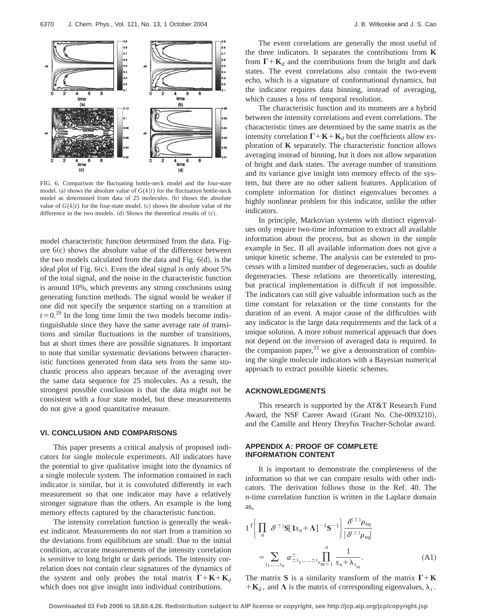

FIG. 6. Comparison the fluctuating bottle-neck model and the four-state model. (a) shows the absolute value of  $G(k|t)$  for the fluctuation bottle-neck model as determined from data of 25 molecules. (b) shows the absolute value of  $G(k|t)$  for the four-state model. (c) shows the absolute value of the difference in the two models.  $(d)$  Shows the theoretical results of  $(c)$ .

model characteristic function determined from the data. Figure  $6(c)$  shows the absolute value of the difference between the two models calculated from the data and Fig.  $6(d)$ , is the ideal plot of Fig.  $6(c)$ . Even the ideal signal is only about 5% of the total signal, and the noise in the characteristic function is around 10%, which prevents any strong conclusions using generating function methods. The signal would be weaker if one did not specify the sequence starting on a transition at  $t=0.^{29}$  In the long time limit the two models become indistinguishable since they have the same average rate of transitions and similar fluctuations in the number of transitions, but at short times there are possible signatures. It important to note that similar systematic deviations between characteristic functions generated from data sets from the same stochastic process also appears because of the averaging over the same data sequence for 25 molecules. As a result, the strongest possible conclusion is that the data might not be consistent with a four state model, but these measurements do not give a good quantitative measure.

## **VI. CONCLUSION AND COMPARISONS**

This paper presents a critical analysis of proposed indicators for single molecule experiments. All indicators have the potential to give qualitative insight into the dynamics of a single molecule system. The information contained in each indicator is similar, but it is convoluted differently in each measurement so that one indicator may have a relatively stronger signature than the others. An example is the long memory effects captured by the characteristic function.

The intensity correlation function is generally the weakest indicator. Measurements do not start from a transition so the deviations from equilibrium are small. Due to the initial condition, accurate measurements of the intensity correlation is sensitive to long bright or dark periods. The intensity correlation does not contain clear signatures of the dynamics of the system and only probes the total matrix  $\mathbf{\Gamma} + \mathbf{K} + \mathbf{K}_d$ which does not give insight into individual contributions.

The event correlations are generally the most useful of the three indicators. It separates the contributions from **K** from  $\mathbf{\Gamma} + \mathbf{K}_d$  and the contributions from the bright and dark states. The event correlations also contain the two-event echo, which is a signature of conformational dynamics, but the indicator requires data binning, instead of averaging, which causes a loss of temporal resolution.

The characteristic function and its moments are a hybrid between the intensity correlations and event correlations. The characteristic times are determined by the same matrix as the intensity correlation  $\mathbf{\Gamma} + \mathbf{K} + \mathbf{K}_d$  but the coefficients allow exploration of **K** separately. The characteristic function allows averaging instead of binning, but it does not allow separation of bright and dark states. The average number of transitions and its variance give insight into memory effects of the system, but there are no other salient features. Application of complete information for distinct eigenvalues becomes a highly nonlinear problem for this indicator, unlike the other indicators.

In principle, Markovian systems with distinct eigenvalues only require two-time information to extract all available information about the process, but as shown in the simple example in Sec. II all available information does not give a unique kinetic scheme. The analysis can be extended to processes with a limited number of degeneracies, such as double degeneracies. These relations are theoretically interesting, but practical implementation is difficult if not impossible. The indicators can still give valuable information such as the time constant for relaxation or the time constants for the duration of an event. A major cause of the difficulties with any indicator is the large data requirements and the lack of a unique solution. A more robust numerical approach that does not depend on the inversion of averaged data is required. In the companion paper,  $33$  we give a demonstration of combining the single molecule indicators with a Bayesian numerical approach to extract possible kinetic schemes.

## **ACKNOWLEDGMENTS**

This research is supported by the AT&T Research Fund Award, the NSF Career Award (Grant No. Che-0093210), and the Camille and Henry Dreyfus Teacher-Scholar award.

## **APPENDIX A: PROOF OF COMPLETE INFORMATION CONTENT**

It is important to demonstrate the completeness of the information so that we can compare results with other indicators. The derivation follows those in the Ref. 40. The *n*-time correlation function is written in the Laplace domain as,

$$
1^{T} \Biggl\{ \prod_{n} \delta^{(\pm)} \mathbf{S} [\mathbf{1} s_{n} + \mathbf{\Lambda}]^{-1} \mathbf{S}^{-1} \Biggr\} \frac{\delta^{(\pm)} \rho_{\text{eq}}}{|\delta^{(\pm)} \rho_{\text{eq}}|}
$$

$$
= \sum_{i_{1},...,i_{n}} a^{\pm}_{\pm i_{1},..., \pm i_{n}} \prod_{m=1}^{n} \frac{1}{s_{n} + \lambda_{i_{m}}}.
$$
(A1)

The matrix **S** is a similarity transform of the matrix  $\Gamma + \mathbf{K}$  $+$ **K**<sub>*d*</sub>, and  $\Lambda$  is the matrix of corresponding eigenvalues,  $\lambda_i$ .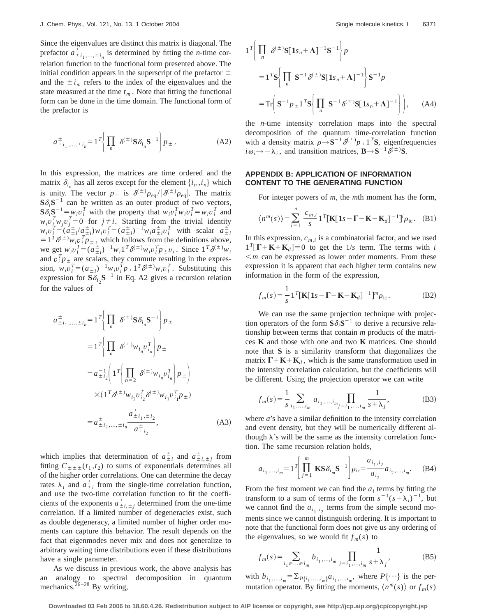Since the eigenvalues are distinct this matrix is diagonal. The prefactor  $a_{\pm i_1, \ldots, \pm i_n}^{\pm}$  is determined by fitting the *n*-time correlation function to the functional form presented above. The initial condition appears in the superscript of the prefactor  $\pm$ and the  $\pm i_m$  refers to the index of the eigenvalues and the state measured at the time  $t_m$ . Note that fitting the functional form can be done in the time domain. The functional form of the prefactor is

$$
a_{\pm i_1,\dots,\pm i_n}^{\pm} = 1^T \Biggl\{ \prod_n \delta^{(\pm)} \mathbf{S} \delta_{i_n} \mathbf{S}^{-1} \Biggr\} p_{\pm} . \tag{A2}
$$

In this expression, the matrices are time ordered and the matrix  $\delta_{i_n}$  has all zeros except for the element  $\{i_n, i_n\}$  which is unity. The vector  $p_{\pm}$  is  $\delta^{(\pm)}\rho_{eq}/|\delta^{(\pm)}\rho_{eq}|$ . The matrix  $S\delta_i S^{-1}$  can be written as an outer product of two vectors,  $S\delta_i S^{-1}_i = w_i v_i^T$  with the property that  $w_i v_i^T w_i v_i^T = w_i v_i^T$  and  $w_i v_i^T w_j v_j^T = 0$  for  $j \neq i$ . Starting from the trivial identity  $w_i v_i^T = (a_{\pm i}^{\pm}/a_{\pm i}^{\pm}) w_i v_i^T = (a_{\pm i}^{\pm})^{-1} w_i a_{\pm i}^{\pm} v_i^T$  with scalar  $a_{\pm i}^{\pm}$  $=1^{\tilde{T}}\delta^{(\pm)}\tilde{w}_{i}v_{i}^{\tilde{T}}\tilde{p}_{\pm}$ , which follows from the definitions above, we get  $w_i v_i^T = (a_{\pm i}^{\pm})^{-1} w_i^T \delta^{(\pm)} w_i v_i^T p_{\pm} v_i^T$ . Since  $1^T \delta^{(\pm)} w_i^T$ and  $v_i^T p_{\pm}$  are scalars, they commute resulting in the expression,  $w_i v_i^T = (a_{\pm i}^{\pm})^{-1} w_i v_i^T p_{\pm 1}^T \delta^{(\pm)} w_i v_i^T$ . Substituting this expression for  $S\delta_{i_2}S^{-1}$  in Eq. A2 gives a recursion relation for the values of

$$
a^{\pm}_{\pm i_1,\dots,\pm i_n} = 1^T \Biggl\{ \prod_n \delta^{(\pm)} S \delta_{i_n} S^{-1} \Biggr\} p_{\pm}
$$
  
\n
$$
= 1^T \Biggl\{ \prod_n \delta^{(\pm)} w_{i_n} v_{i_n}^T \Biggr\} p_{\pm}
$$
  
\n
$$
= a^{\pm i}_{\pm i_2} \Biggl( 1^T \Biggl\{ \prod_{n=2} \delta^{(\pm)} w_{i_n} v_{i_n}^T \Biggr\} p_{\pm} \Biggr\}
$$
  
\n
$$
\times (1^T \delta^{(\pm)} w_{i_2} v_{i_2}^T \delta^{(\pm)} w_{i_1} v_{i_1}^T p_{\pm})
$$
  
\n
$$
= a^{\pm}_{\pm i_2,\dots,\pm i_n} \frac{a^{\pm}_{\pm i_1,\pm i_2}}{a^{\pm}_{\pm i_2}}, \tag{A3}
$$

which implies that determination of  $a_{\pm i}^{\pm}$  and  $a_{\pm i,\pm j}^{\pm}$  from fitting  $C_{\pm\pm\pm}(t_1,t_2)$  to sums of exponentials determines all of the higher order correlations. One can determine the decay rates  $\lambda_i$  and  $a_{\pm i}^{\pm}$  from the single-time correlation function, and use the two-time correlation function to fit the coefficients of the exponents  $a_{\pm i,\pm j}^{\pm}$  determined from the one-time correlation. If a limited number of degeneracies exist, such as double degeneracy, a limited number of higher order moments can capture this behavior. The result depends on the fact that eigenmodes never mix and does not generalize to arbitrary waiting time distributions even if these distributions have a single parameter.

As we discuss in previous work, the above analysis has an analogy to spectral decomposition in quantum mechanics. $26-28$  By writing,

$$
1T \Biggl\{ \prod_{n} \delta^{(\pm)} S [\mathbf{1} s_{n} + \mathbf{\Lambda}]^{-1} \mathbf{S}^{-1} \Biggr\} p_{\pm}
$$
  
=  $1T S \Biggl\{ \prod_{n} \mathbf{S}^{-1} \delta^{(\pm)} S [\mathbf{1} s_{n} + \mathbf{\Lambda}]^{-1} \Biggr\} \mathbf{S}^{-1} p_{\pm}$   
=  $\text{Tr} \Biggl( \mathbf{S}^{-1} p_{\pm} 1T \mathbf{S} \Biggl\{ \prod_{n} \mathbf{S}^{-1} \delta^{(\pm)} S [\mathbf{1} s_{n} + \mathbf{\Lambda}]^{-1} \Biggr\} \Biggr)$ , (A4)

the *n*-time intensity correlation maps into the spectral decomposition of the quantum time-correlation function with a density matrix  $\rho \rightarrow S^{-1} \delta^{(\pm)} p_{\pm} 1^T S$ , eigenfrequencies  $i\omega_i \rightarrow -\lambda_i$ , and transition matrices, **B** $\rightarrow$ **S**<sup>-1</sup> $\delta$ <sup>(±)</sup>**S**.

# **APPENDIX B: APPLICATION OF INFORMATION CONTENT TO THE GENERATING FUNCTION**

For integer powers of *m*, the *m*th moment has the form,

$$
\langle n^m(s) \rangle = \sum_{i=1}^n \frac{c_{m,i}}{s} 1^T [\mathbf{K} [\mathbf{1}s - \mathbf{\Gamma} - \mathbf{K} - \mathbf{K}_d]^{-1}]^i \rho_{ic}.
$$
 (B1)

In this expression,  $c_{m,i}$  is a combinatorial factor, and we used  $1^T[\Gamma + \mathbf{K} + \mathbf{K}_d] = 0$  to get the  $1/s$  term. The terms with *i*  $\leq$ *m* can be expressed as lower order moments. From these expression it is apparent that each higher term contains new information in the form of the expression,

$$
f_m(s) = \frac{1}{s} 1^T [\mathbf{K} [\mathbf{1}s - \mathbf{\Gamma} - \mathbf{K} - \mathbf{K}_d]^{-1}]^m \rho_{\text{ic}}.
$$
 (B2)

We can use the same projection technique with projection operators of the form  $S\delta_iS^{-1}$  to derive a recursive relationship between terms that contain *m* products of the matrices **K** and those with one and two **K** matrices. One should note that **S** is a similarity transform that diagonalizes the matrix  $\mathbf{\Gamma} + \mathbf{K} + \mathbf{K}_d$ , which is the same transformation used in the intensity correlation calculation, but the coefficients will be different. Using the projection operator we can write

$$
f_m(s) = \frac{1}{s} \sum_{i_1, \dots, i_m} a_{i_1, \dots, i_{m_j = i_1, \dots, i_m}} \frac{1}{s + \lambda_j},
$$
 (B3)

where *a*'s have a similar definition to the intensity correlation and event density, but they will be numerically different although  $\lambda$ 's will be the same as the intensity correlation function. The same recursion relation holds,

$$
a_{i_1,...,i_m} = 1^T \left[ \prod_{j=1}^m \mathbf{K} \mathbf{S} \delta_{i_m} \mathbf{S}^{-1} \right] \rho_{ic} = \frac{a_{i_1, i_2}}{a_{i_2}} a_{i_2,...,i_m}.
$$
 (B4)

From the first moment we can find the  $a_i$  terms by fitting the transform to a sum of terms of the form  $s^{-1}(s+\lambda_i)^{-1}$ , but we cannot find the  $a_{i_1,i_2}$  terms from the simple second moments since we cannot distinguish ordering. It is important to note that the functional form does not give us any ordering of the eigenvalues, so we would fit  $f_m(s)$  to

$$
f_m(s) = \sum_{i_1 \ge \dots \ge i_m} b_{i_1, \dots, i_m} \prod_{j = i_1, \dots, i_m} \frac{1}{s + \lambda_j},
$$
 (B5)

with  $b_{i_1, ..., i_m} = \sum_{P \{i_1, ..., i_m\}} a_{i_1, ..., i_m}$ , where  $P \{ \cdot \cdot \cdot \}$  is the permutation operator. By fitting the moments,  $\langle n^m(s) \rangle$  or  $f_m(s)$